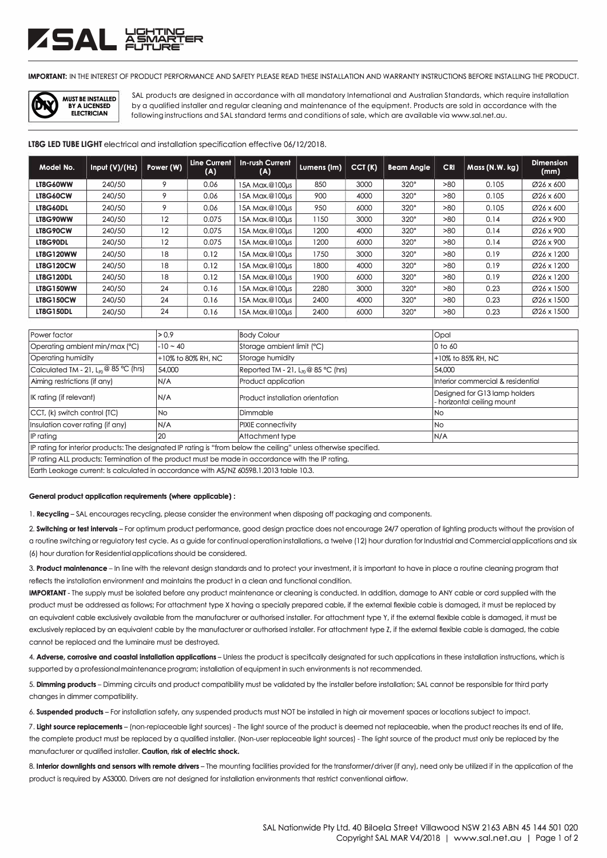# **ZSAL ASHTING A5MARTER FUTURE™**



IMPORTANT: IN THE INTEREST OF PRODUCT PERFORMANCE AND SAFETY PLEASE READ THESE INSTALLATION AND WARRANTY INSTRUCTIONS BEFORE INSTALLING THE PRODUCT.<br> **IN THE INSTALLED** SAL products are designed in accordance with all mand SAL products are designed in accordance with all mandatory International and Australian Standards, which require installation by a qualified installer and regular cleaning and maintenance of the equipment. Products are sold in accordance with the following instructions and SAL standard terms and conditions of sale, which are available via www.sal.net.au.

## LTBG LED TUBE LIGHT electrical and installation specification effective 06/12/2018.

| Model No.        | Input (V)/(Hz) | Power (W) | Line Current<br>(A) | <b>In-rush Current</b><br>(A) | Lumens (Im) | CCT(K) | <b>Beam Angle</b> | <b>CRI</b> | Mass (N.W. kg) | <b>Dimension</b><br>(mm) |
|------------------|----------------|-----------|---------------------|-------------------------------|-------------|--------|-------------------|------------|----------------|--------------------------|
| LT8G60WW         | 240/50         | 9         | 0.06                | 15A Max.@100us                | 850         | 3000   | $320^\circ$       | >80        | 0.105          | Ø26 x 600                |
| <b>LT8G60CW</b>  | 240/50         | 9         | 0.06                | 15A Max.@100us                | 900         | 4000   | 320°              | >80        | 0.105          | Ø26 x 600                |
| <b>LT8G60DL</b>  | 240/50         | 9         | 0.06                | 15A Max.@100us                | 950         | 6000   | 320°              | >80        | 0.105          | Ø26 x 600                |
| LT8G90WW         | 240/50         | 12        | 0.075               | 15A Max.@100us                | 1150        | 3000   | 320°              | >80        | 0.14           | Ø26 x 900                |
| <b>LT8G90CW</b>  | 240/50         | 12        | 0.075               | 15A Max.@100us                | 1200        | 4000   | 320°              | >80        | 0.14           | Ø26 x 900                |
| <b>LT8G90DL</b>  | 240/50         | 12        | 0.075               | 15A Max.@100us                | 1200        | 6000   | 320°              | >80        | 0.14           | Ø26 x 900                |
| <b>LT8G120WW</b> | 240/50         | 18        | 0.12                | 15A Max.@100us                | 1750        | 3000   | $320^\circ$       | >80        | 0.19           | Ø26 x 1200               |
| <b>LT8G120CW</b> | 240/50         | 18        | 0.12                | 15A Max.@100µs                | 1800        | 4000   | $320^\circ$       | >80        | 0.19           | Ø26 x 1200               |
| <b>LT8G120DL</b> | 240/50         | 18        | 0.12                | 15A Max.@100us                | 1900        | 6000   | $320^\circ$       | >80        | 0.19           | Ø26 x 1200               |
| <b>LT8G150WW</b> | 240/50         | 24        | 0.16                | 15A Max.@100us                | 2280        | 3000   | 320°              | >80        | 0.23           | Ø26 x 1500               |
| <b>LT8G150CW</b> | 240/50         | 24        | 0.16                | 15A Max.@100us                | 2400        | 4000   | 320°              | >80        | 0.23           | Ø26 x 1500               |
| <b>LT8G150DL</b> | 240/50         | 24        | 0.16                | 15A Max.@100us                | 2400        | 6000   | $320^\circ$       | >80        | 0.23           | Ø26 x 1500               |

| Power factor                                                                                                      | > 0.9              | <b>Body Colour</b>                          | Opal                                                        |  |  |  |  |
|-------------------------------------------------------------------------------------------------------------------|--------------------|---------------------------------------------|-------------------------------------------------------------|--|--|--|--|
| Operating ambient min/max (°C)                                                                                    | $-10 - 40$         | Storage ambient limit (°C)                  | $10$ to $60$                                                |  |  |  |  |
| Operating humidity                                                                                                | +10% to 80% RH, NC | Storage humidity                            | +10% to 85% RH, NC                                          |  |  |  |  |
| Calculated TM - 21, $L_{70}$ @ 85 °C (hrs)                                                                        | 54,000             | Reported TM - 21, $L_n \otimes 85$ °C (hrs) | 54,000                                                      |  |  |  |  |
| Aiming restrictions (if any)                                                                                      | N/A                | Product application                         | Interior commercial & residential                           |  |  |  |  |
| <b>IK</b> rating (if relevant)                                                                                    | N/A                | Product installation orientation            | Designed for G13 lamp holders<br>- horizontal ceiling mount |  |  |  |  |
| CCT, (k) switch control (TC)                                                                                      | <b>No</b>          | Dimmable                                    | lNo                                                         |  |  |  |  |
| Insulation cover rating (if any)                                                                                  | N/A                | PIXIE connectivity                          | lNo                                                         |  |  |  |  |
| <b>IP</b> rating                                                                                                  | 20                 | Attachment type                             | N/A                                                         |  |  |  |  |
| IP rating for interior products: The designated IP rating is "from below the ceiling" unless otherwise specified. |                    |                                             |                                                             |  |  |  |  |
| IP rating ALL products: Termination of the product must be made in accordance with the IP rating.                 |                    |                                             |                                                             |  |  |  |  |
| Earth Leakage current: Is calculated in accordance with AS/NZ 60598.1.2013 table 10.3.                            |                    |                                             |                                                             |  |  |  |  |

### **General product application requirements (where applicable):**

l. **Recycling** - SAL encourages recycling, please consider the environment when disposing off packaging and components.

2. **Switching or test intervals** - For optimum product performance, good design practice does not encourage 24/7 operation of lighting products without the provision of a routine switching or regulatory test cycle. As a guide for continual operation installations, a twelve (12) hour duration for Industrial and Commercial applications and six (6) hour duration for Residential applications should be considered.

3. **Product maintenance** - In line with the relevant design standards and to protect your investment, it is important to have in place a routine cleaning program that refiects the installation environment and maintains the product in a clean and functional condition.

**IMPORTANT** - The supply must be isolated before any product maintenance or cleaning is conducted. In addition, damage to ANY cable or cord supplied with the product must be addressed as follows; For attachment type X having a specially prepared cable, if the external fiexible cable is damaged, it must be replaced by an equivalent cable exclusively available from the manufacturer or authorised installer. For attachment type Y, if the external flexible cable is damaged, it must be exclusively replaced by an equivalent cable by the manufacturer or authorised installer. For attachment type Z, if the external fiexible cable is damaged, the cable cannot be replaced and the luminaire must be destroyed.

4. **Adverse, corrosive and coastal installation applications** - Unless the product is specifically designated for such applications in these installation instructions, which is supported by a professional maintenance program; installation of equipment in such environments is not recommended.

5. **Dimming products** - Dimming circuits and product compatibility must be validated by the installer before installation; SAL cannot be responsible for third party changes in dimmer compatibility.

6. **Suspended products-** For installation safety, any suspended products must NOT be installed in high air movement spaces or locations subject to impact.

7. **Light source replacements-** (non-replaceable light sources) - The light source of the product is deemed not replaceable, when the product reaches its end of life, the complete product must be replaced by a qualified installer. (Non-user replaceable light sources) - The light source of the product must only be replaced by the manufacturer or qualified installer. **Caution, risk of electric shock.** 

8. **Interior downlights and sensors with remote drivers-** The mounting facilities provided for the transformer/driver (if any), need only be utilized if in the application of the product is required by AS3000. Drivers are not designed for installation environments that restrict conventional airfiow .